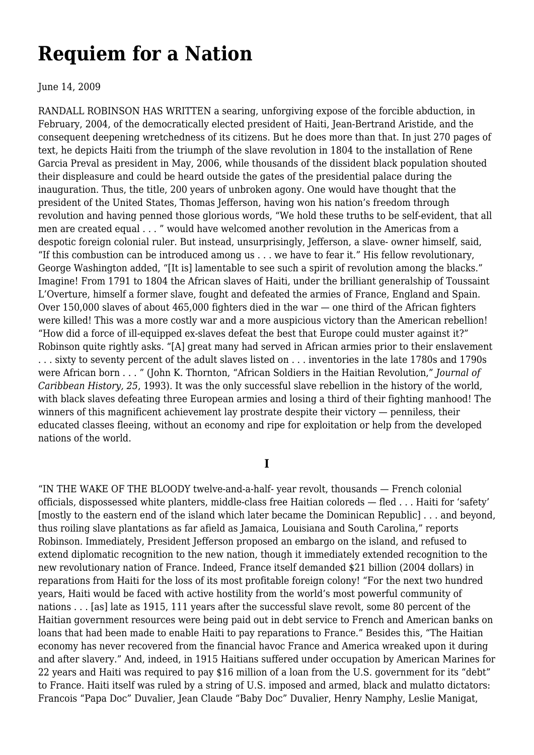## **[Requiem for a Nation](https://newpol.org/review/requiem-nation/)**

June 14, 2009

RANDALL ROBINSON HAS WRITTEN a searing, unforgiving expose of the forcible abduction, in February, 2004, of the democratically elected president of Haiti, Jean-Bertrand Aristide, and the consequent deepening wretchedness of its citizens. But he does more than that. In just 270 pages of text, he depicts Haiti from the triumph of the slave revolution in 1804 to the installation of Rene Garcia Preval as president in May, 2006, while thousands of the dissident black population shouted their displeasure and could be heard outside the gates of the presidential palace during the inauguration. Thus, the title, 200 years of unbroken agony. One would have thought that the president of the United States, Thomas Jefferson, having won his nation's freedom through revolution and having penned those glorious words, "We hold these truths to be self-evident, that all men are created equal . . . " would have welcomed another revolution in the Americas from a despotic foreign colonial ruler. But instead, unsurprisingly, Jefferson, a slave- owner himself, said, "If this combustion can be introduced among us . . . we have to fear it." His fellow revolutionary, George Washington added, "[It is] lamentable to see such a spirit of revolution among the blacks." Imagine! From 1791 to 1804 the African slaves of Haiti, under the brilliant generalship of Toussaint L'Overture, himself a former slave, fought and defeated the armies of France, England and Spain. Over 150,000 slaves of about 465,000 fighters died in the war — one third of the African fighters were killed! This was a more costly war and a more auspicious victory than the American rebellion! "How did a force of ill-equipped ex-slaves defeat the best that Europe could muster against it?" Robinson quite rightly asks. "[A] great many had served in African armies prior to their enslavement . . . sixty to seventy percent of the adult slaves listed on . . . inventories in the late 1780s and 1790s were African born . . . " (John K. Thornton, "African Soldiers in the Haitian Revolution," *Journal of Caribbean History, 25*, 1993). It was the only successful slave rebellion in the history of the world, with black slaves defeating three European armies and losing a third of their fighting manhood! The winners of this magnificent achievement lay prostrate despite their victory — penniless, their educated classes fleeing, without an economy and ripe for exploitation or help from the developed nations of the world.

## **I**

"IN THE WAKE OF THE BLOODY twelve-and-a-half- year revolt, thousands — French colonial officials, dispossessed white planters, middle-class free Haitian coloreds — fled . . . Haiti for 'safety' [mostly to the eastern end of the island which later became the Dominican Republic] . . . and beyond, thus roiling slave plantations as far afield as Jamaica, Louisiana and South Carolina," reports Robinson. Immediately, President Jefferson proposed an embargo on the island, and refused to extend diplomatic recognition to the new nation, though it immediately extended recognition to the new revolutionary nation of France. Indeed, France itself demanded \$21 billion (2004 dollars) in reparations from Haiti for the loss of its most profitable foreign colony! "For the next two hundred years, Haiti would be faced with active hostility from the world's most powerful community of nations . . . [as] late as 1915, 111 years after the successful slave revolt, some 80 percent of the Haitian government resources were being paid out in debt service to French and American banks on loans that had been made to enable Haiti to pay reparations to France." Besides this, "The Haitian economy has never recovered from the financial havoc France and America wreaked upon it during and after slavery." And, indeed, in 1915 Haitians suffered under occupation by American Marines for 22 years and Haiti was required to pay \$16 million of a loan from the U.S. government for its "debt" to France. Haiti itself was ruled by a string of U.S. imposed and armed, black and mulatto dictators: Francois "Papa Doc" Duvalier, Jean Claude "Baby Doc" Duvalier, Henry Namphy, Leslie Manigat,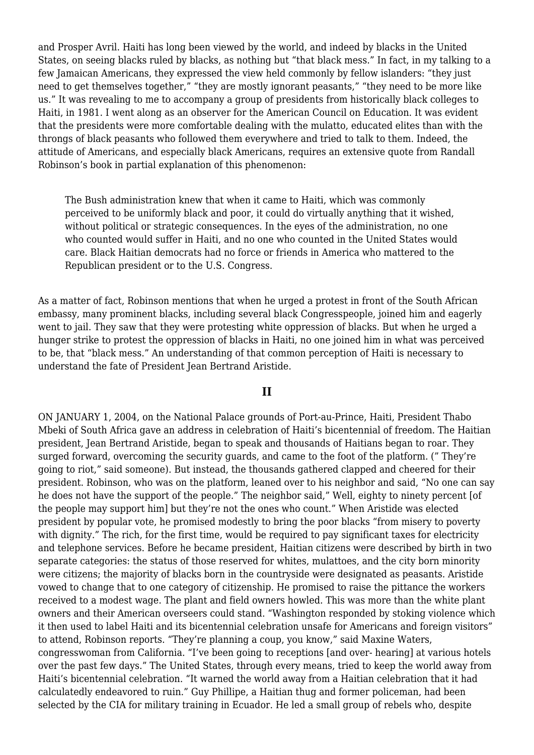and Prosper Avril. Haiti has long been viewed by the world, and indeed by blacks in the United States, on seeing blacks ruled by blacks, as nothing but "that black mess." In fact, in my talking to a few Jamaican Americans, they expressed the view held commonly by fellow islanders: "they just need to get themselves together," "they are mostly ignorant peasants," "they need to be more like us." It was revealing to me to accompany a group of presidents from historically black colleges to Haiti, in 1981. I went along as an observer for the American Council on Education. It was evident that the presidents were more comfortable dealing with the mulatto, educated elites than with the throngs of black peasants who followed them everywhere and tried to talk to them. Indeed, the attitude of Americans, and especially black Americans, requires an extensive quote from Randall Robinson's book in partial explanation of this phenomenon:

The Bush administration knew that when it came to Haiti, which was commonly perceived to be uniformly black and poor, it could do virtually anything that it wished, without political or strategic consequences. In the eyes of the administration, no one who counted would suffer in Haiti, and no one who counted in the United States would care. Black Haitian democrats had no force or friends in America who mattered to the Republican president or to the U.S. Congress.

As a matter of fact, Robinson mentions that when he urged a protest in front of the South African embassy, many prominent blacks, including several black Congresspeople, joined him and eagerly went to jail. They saw that they were protesting white oppression of blacks. But when he urged a hunger strike to protest the oppression of blacks in Haiti, no one joined him in what was perceived to be, that "black mess." An understanding of that common perception of Haiti is necessary to understand the fate of President Jean Bertrand Aristide.

## **II**

ON JANUARY 1, 2004, on the National Palace grounds of Port-au-Prince, Haiti, President Thabo Mbeki of South Africa gave an address in celebration of Haiti's bicentennial of freedom. The Haitian president, Jean Bertrand Aristide, began to speak and thousands of Haitians began to roar. They surged forward, overcoming the security guards, and came to the foot of the platform. (" They're going to riot," said someone). But instead, the thousands gathered clapped and cheered for their president. Robinson, who was on the platform, leaned over to his neighbor and said, "No one can say he does not have the support of the people." The neighbor said," Well, eighty to ninety percent [of the people may support him] but they're not the ones who count." When Aristide was elected president by popular vote, he promised modestly to bring the poor blacks "from misery to poverty with dignity." The rich, for the first time, would be required to pay significant taxes for electricity and telephone services. Before he became president, Haitian citizens were described by birth in two separate categories: the status of those reserved for whites, mulattoes, and the city born minority were citizens; the majority of blacks born in the countryside were designated as peasants. Aristide vowed to change that to one category of citizenship. He promised to raise the pittance the workers received to a modest wage. The plant and field owners howled. This was more than the white plant owners and their American overseers could stand. "Washington responded by stoking violence which it then used to label Haiti and its bicentennial celebration unsafe for Americans and foreign visitors" to attend, Robinson reports. "They're planning a coup, you know," said Maxine Waters, congresswoman from California. "I've been going to receptions [and over- hearing] at various hotels over the past few days." The United States, through every means, tried to keep the world away from Haiti's bicentennial celebration. "It warned the world away from a Haitian celebration that it had calculatedly endeavored to ruin." Guy Phillipe, a Haitian thug and former policeman, had been selected by the CIA for military training in Ecuador. He led a small group of rebels who, despite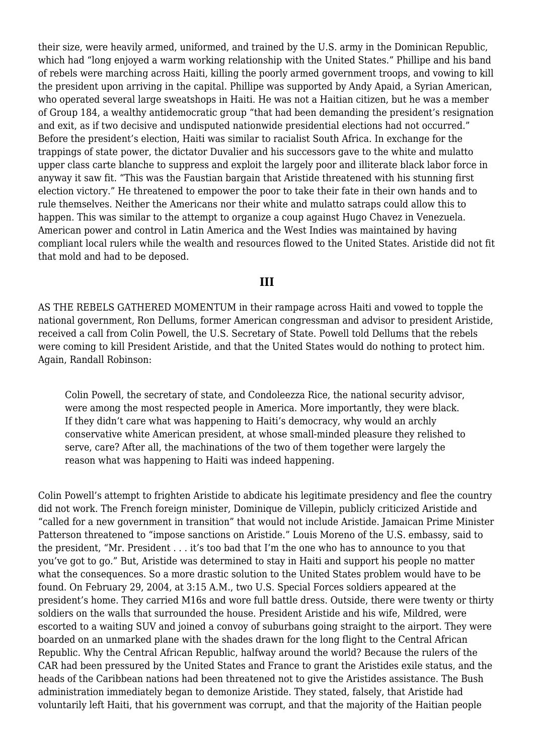their size, were heavily armed, uniformed, and trained by the U.S. army in the Dominican Republic, which had "long enjoyed a warm working relationship with the United States." Phillipe and his band of rebels were marching across Haiti, killing the poorly armed government troops, and vowing to kill the president upon arriving in the capital. Phillipe was supported by Andy Apaid, a Syrian American, who operated several large sweatshops in Haiti. He was not a Haitian citizen, but he was a member of Group 184, a wealthy antidemocratic group "that had been demanding the president's resignation and exit, as if two decisive and undisputed nationwide presidential elections had not occurred." Before the president's election, Haiti was similar to racialist South Africa. In exchange for the trappings of state power, the dictator Duvalier and his successors gave to the white and mulatto upper class carte blanche to suppress and exploit the largely poor and illiterate black labor force in anyway it saw fit. "This was the Faustian bargain that Aristide threatened with his stunning first election victory." He threatened to empower the poor to take their fate in their own hands and to rule themselves. Neither the Americans nor their white and mulatto satraps could allow this to happen. This was similar to the attempt to organize a coup against Hugo Chavez in Venezuela. American power and control in Latin America and the West Indies was maintained by having compliant local rulers while the wealth and resources flowed to the United States. Aristide did not fit that mold and had to be deposed.

## **III**

AS THE REBELS GATHERED MOMENTUM in their rampage across Haiti and vowed to topple the national government, Ron Dellums, former American congressman and advisor to president Aristide, received a call from Colin Powell, the U.S. Secretary of State. Powell told Dellums that the rebels were coming to kill President Aristide, and that the United States would do nothing to protect him. Again, Randall Robinson:

Colin Powell, the secretary of state, and Condoleezza Rice, the national security advisor, were among the most respected people in America. More importantly, they were black. If they didn't care what was happening to Haiti's democracy, why would an archly conservative white American president, at whose small-minded pleasure they relished to serve, care? After all, the machinations of the two of them together were largely the reason what was happening to Haiti was indeed happening.

Colin Powell's attempt to frighten Aristide to abdicate his legitimate presidency and flee the country did not work. The French foreign minister, Dominique de Villepin, publicly criticized Aristide and "called for a new government in transition" that would not include Aristide. Jamaican Prime Minister Patterson threatened to "impose sanctions on Aristide." Louis Moreno of the U.S. embassy, said to the president, "Mr. President . . . it's too bad that I'm the one who has to announce to you that you've got to go." But, Aristide was determined to stay in Haiti and support his people no matter what the consequences. So a more drastic solution to the United States problem would have to be found. On February 29, 2004, at 3:15 A.M., two U.S. Special Forces soldiers appeared at the president's home. They carried M16s and wore full battle dress. Outside, there were twenty or thirty soldiers on the walls that surrounded the house. President Aristide and his wife, Mildred, were escorted to a waiting SUV and joined a convoy of suburbans going straight to the airport. They were boarded on an unmarked plane with the shades drawn for the long flight to the Central African Republic. Why the Central African Republic, halfway around the world? Because the rulers of the CAR had been pressured by the United States and France to grant the Aristides exile status, and the heads of the Caribbean nations had been threatened not to give the Aristides assistance. The Bush administration immediately began to demonize Aristide. They stated, falsely, that Aristide had voluntarily left Haiti, that his government was corrupt, and that the majority of the Haitian people